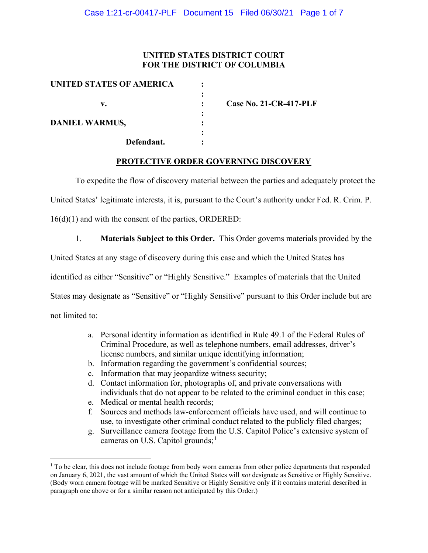## UNITED STATES DISTRICT COURT FOR THE DISTRICT OF COLUMBIA

| UNITED STATES OF AMERICA |   |                               |
|--------------------------|---|-------------------------------|
|                          |   |                               |
| v.                       |   | <b>Case No. 21-CR-417-PLF</b> |
|                          |   |                               |
| <b>DANIEL WARMUS,</b>    |   |                               |
|                          | ٠ |                               |
| Defendant.               |   |                               |

## PROTECTIVE ORDER GOVERNING DISCOVERY

To expedite the flow of discovery material between the parties and adequately protect the

United States' legitimate interests, it is, pursuant to the Court's authority under Fed. R. Crim. P.

16(d)(1) and with the consent of the parties, ORDERED:

1. Materials Subject to this Order. This Order governs materials provided by the

United States at any stage of discovery during this case and which the United States has

identified as either "Sensitive" or "Highly Sensitive." Examples of materials that the United

States may designate as "Sensitive" or "Highly Sensitive" pursuant to this Order include but are

not limited to:

- a. Personal identity information as identified in Rule 49.1 of the Federal Rules of Criminal Procedure, as well as telephone numbers, email addresses, driver's license numbers, and similar unique identifying information;
- b. Information regarding the government's confidential sources;
- c. Information that may jeopardize witness security;
- d. Contact information for, photographs of, and private conversations with individuals that do not appear to be related to the criminal conduct in this case;
- e. Medical or mental health records;
- f. Sources and methods law-enforcement officials have used, and will continue to use, to investigate other criminal conduct related to the publicly filed charges;
- g. Surveillance camera footage from the U.S. Capitol Police's extensive system of cameras on U.S. Capitol grounds; $<sup>1</sup>$ </sup>

<sup>&</sup>lt;sup>1</sup> To be clear, this does not include footage from body worn cameras from other police departments that responded on January 6, 2021, the vast amount of which the United States will not designate as Sensitive or Highly Sensitive. (Body worn camera footage will be marked Sensitive or Highly Sensitive only if it contains material described in paragraph one above or for a similar reason not anticipated by this Order.)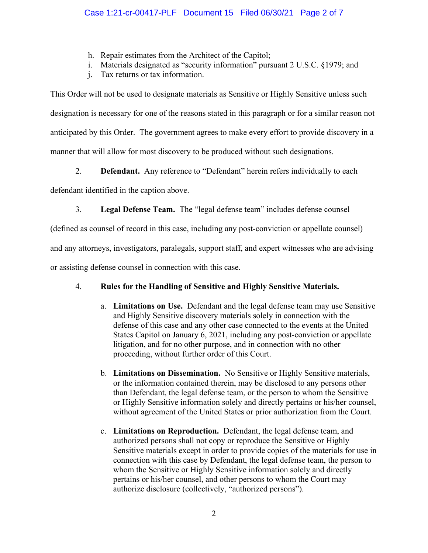- h. Repair estimates from the Architect of the Capitol;
- i. Materials designated as "security information" pursuant 2 U.S.C. §1979; and
- j. Tax returns or tax information.

This Order will not be used to designate materials as Sensitive or Highly Sensitive unless such designation is necessary for one of the reasons stated in this paragraph or for a similar reason not anticipated by this Order. The government agrees to make every effort to provide discovery in a manner that will allow for most discovery to be produced without such designations.

2. **Defendant.** Any reference to "Defendant" herein refers individually to each

defendant identified in the caption above.

3. Legal Defense Team. The "legal defense team" includes defense counsel

(defined as counsel of record in this case, including any post-conviction or appellate counsel)

and any attorneys, investigators, paralegals, support staff, and expert witnesses who are advising

or assisting defense counsel in connection with this case.

# 4. Rules for the Handling of Sensitive and Highly Sensitive Materials.

- a. Limitations on Use. Defendant and the legal defense team may use Sensitive and Highly Sensitive discovery materials solely in connection with the defense of this case and any other case connected to the events at the United States Capitol on January 6, 2021, including any post-conviction or appellate litigation, and for no other purpose, and in connection with no other proceeding, without further order of this Court.
- b. Limitations on Dissemination. No Sensitive or Highly Sensitive materials, or the information contained therein, may be disclosed to any persons other than Defendant, the legal defense team, or the person to whom the Sensitive or Highly Sensitive information solely and directly pertains or his/her counsel, without agreement of the United States or prior authorization from the Court.
- c. Limitations on Reproduction. Defendant, the legal defense team, and authorized persons shall not copy or reproduce the Sensitive or Highly Sensitive materials except in order to provide copies of the materials for use in connection with this case by Defendant, the legal defense team, the person to whom the Sensitive or Highly Sensitive information solely and directly pertains or his/her counsel, and other persons to whom the Court may authorize disclosure (collectively, "authorized persons").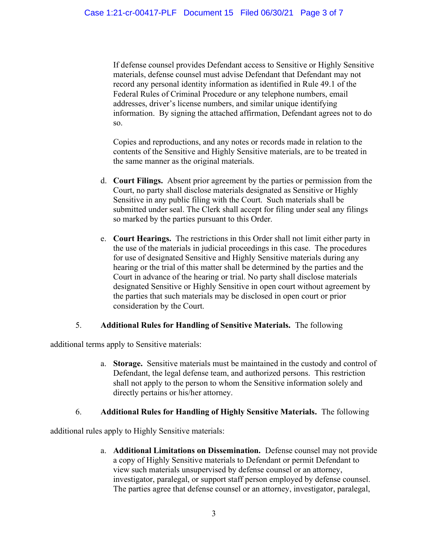If defense counsel provides Defendant access to Sensitive or Highly Sensitive materials, defense counsel must advise Defendant that Defendant may not record any personal identity information as identified in Rule 49.1 of the Federal Rules of Criminal Procedure or any telephone numbers, email addresses, driver's license numbers, and similar unique identifying information. By signing the attached affirmation, Defendant agrees not to do so.

Copies and reproductions, and any notes or records made in relation to the contents of the Sensitive and Highly Sensitive materials, are to be treated in the same manner as the original materials.

- d. Court Filings. Absent prior agreement by the parties or permission from the Court, no party shall disclose materials designated as Sensitive or Highly Sensitive in any public filing with the Court. Such materials shall be submitted under seal. The Clerk shall accept for filing under seal any filings so marked by the parties pursuant to this Order.
- e. Court Hearings. The restrictions in this Order shall not limit either party in the use of the materials in judicial proceedings in this case. The procedures for use of designated Sensitive and Highly Sensitive materials during any hearing or the trial of this matter shall be determined by the parties and the Court in advance of the hearing or trial. No party shall disclose materials designated Sensitive or Highly Sensitive in open court without agreement by the parties that such materials may be disclosed in open court or prior consideration by the Court.

## 5. Additional Rules for Handling of Sensitive Materials. The following

additional terms apply to Sensitive materials:

a. Storage. Sensitive materials must be maintained in the custody and control of Defendant, the legal defense team, and authorized persons. This restriction shall not apply to the person to whom the Sensitive information solely and directly pertains or his/her attorney.

## 6. Additional Rules for Handling of Highly Sensitive Materials. The following

additional rules apply to Highly Sensitive materials:

a. Additional Limitations on Dissemination. Defense counsel may not provide a copy of Highly Sensitive materials to Defendant or permit Defendant to view such materials unsupervised by defense counsel or an attorney, investigator, paralegal, or support staff person employed by defense counsel. The parties agree that defense counsel or an attorney, investigator, paralegal,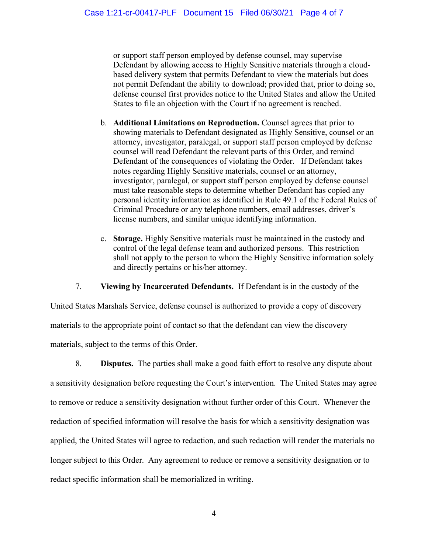or support staff person employed by defense counsel, may supervise Defendant by allowing access to Highly Sensitive materials through a cloudbased delivery system that permits Defendant to view the materials but does not permit Defendant the ability to download; provided that, prior to doing so, defense counsel first provides notice to the United States and allow the United States to file an objection with the Court if no agreement is reached.

- b. Additional Limitations on Reproduction. Counsel agrees that prior to showing materials to Defendant designated as Highly Sensitive, counsel or an attorney, investigator, paralegal, or support staff person employed by defense counsel will read Defendant the relevant parts of this Order, and remind Defendant of the consequences of violating the Order. If Defendant takes notes regarding Highly Sensitive materials, counsel or an attorney, investigator, paralegal, or support staff person employed by defense counsel must take reasonable steps to determine whether Defendant has copied any personal identity information as identified in Rule 49.1 of the Federal Rules of Criminal Procedure or any telephone numbers, email addresses, driver's license numbers, and similar unique identifying information.
- c. Storage. Highly Sensitive materials must be maintained in the custody and control of the legal defense team and authorized persons. This restriction shall not apply to the person to whom the Highly Sensitive information solely and directly pertains or his/her attorney.

7. Viewing by Incarcerated Defendants. If Defendant is in the custody of the

United States Marshals Service, defense counsel is authorized to provide a copy of discovery materials to the appropriate point of contact so that the defendant can view the discovery materials, subject to the terms of this Order.

8. Disputes. The parties shall make a good faith effort to resolve any dispute about a sensitivity designation before requesting the Court's intervention. The United States may agree to remove or reduce a sensitivity designation without further order of this Court. Whenever the redaction of specified information will resolve the basis for which a sensitivity designation was applied, the United States will agree to redaction, and such redaction will render the materials no longer subject to this Order. Any agreement to reduce or remove a sensitivity designation or to redact specific information shall be memorialized in writing.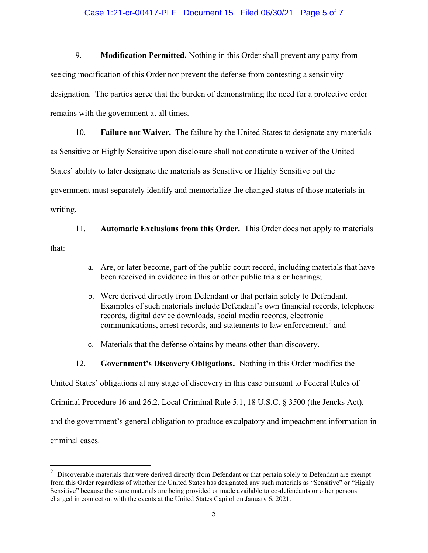### Case 1:21-cr-00417-PLF Document 15 Filed 06/30/21 Page 5 of 7

9. Modification Permitted. Nothing in this Order shall prevent any party from seeking modification of this Order nor prevent the defense from contesting a sensitivity designation. The parties agree that the burden of demonstrating the need for a protective order remains with the government at all times.

10. Failure not Waiver. The failure by the United States to designate any materials as Sensitive or Highly Sensitive upon disclosure shall not constitute a waiver of the United States' ability to later designate the materials as Sensitive or Highly Sensitive but the government must separately identify and memorialize the changed status of those materials in writing.

11. Automatic Exclusions from this Order. This Order does not apply to materials that:

- a. Are, or later become, part of the public court record, including materials that have been received in evidence in this or other public trials or hearings;
- b. Were derived directly from Defendant or that pertain solely to Defendant. Examples of such materials include Defendant's own financial records, telephone records, digital device downloads, social media records, electronic communications, arrest records, and statements to law enforcement;<sup>2</sup> and
- c. Materials that the defense obtains by means other than discovery.
- 12. Government's Discovery Obligations. Nothing in this Order modifies the

United States' obligations at any stage of discovery in this case pursuant to Federal Rules of

Criminal Procedure 16 and 26.2, Local Criminal Rule 5.1, 18 U.S.C. § 3500 (the Jencks Act),

and the government's general obligation to produce exculpatory and impeachment information in

criminal cases.

 $2$  Discoverable materials that were derived directly from Defendant or that pertain solely to Defendant are exempt from this Order regardless of whether the United States has designated any such materials as "Sensitive" or "Highly Sensitive" because the same materials are being provided or made available to co-defendants or other persons charged in connection with the events at the United States Capitol on January 6, 2021.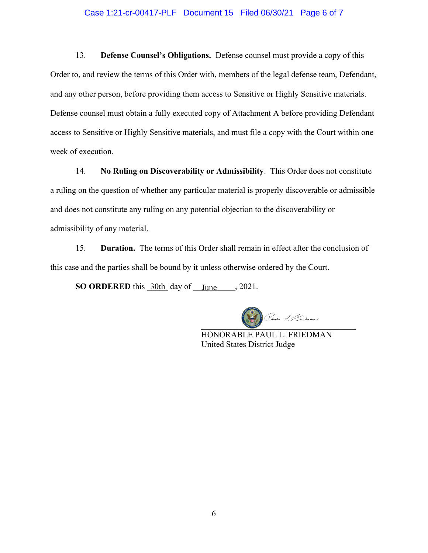#### Case 1:21-cr-00417-PLF Document 15 Filed 06/30/21 Page 6 of 7

13. Defense Counsel's Obligations. Defense counsel must provide a copy of this Order to, and review the terms of this Order with, members of the legal defense team, Defendant, and any other person, before providing them access to Sensitive or Highly Sensitive materials. Defense counsel must obtain a fully executed copy of Attachment A before providing Defendant access to Sensitive or Highly Sensitive materials, and must file a copy with the Court within one week of execution.

14. No Ruling on Discoverability or Admissibility. This Order does not constitute a ruling on the question of whether any particular material is properly discoverable or admissible and does not constitute any ruling on any potential objection to the discoverability or admissibility of any material.

15. Duration. The terms of this Order shall remain in effect after the conclusion of this case and the parties shall be bound by it unless otherwise ordered by the Court.

SO ORDERED this  $30th$  day of  $\_June$ , 2021.

 $\bigcirc$  and  $\mathcal{I}$  Snidman

HONORABLE PAUL L. FRIEDMAN United States District Judge